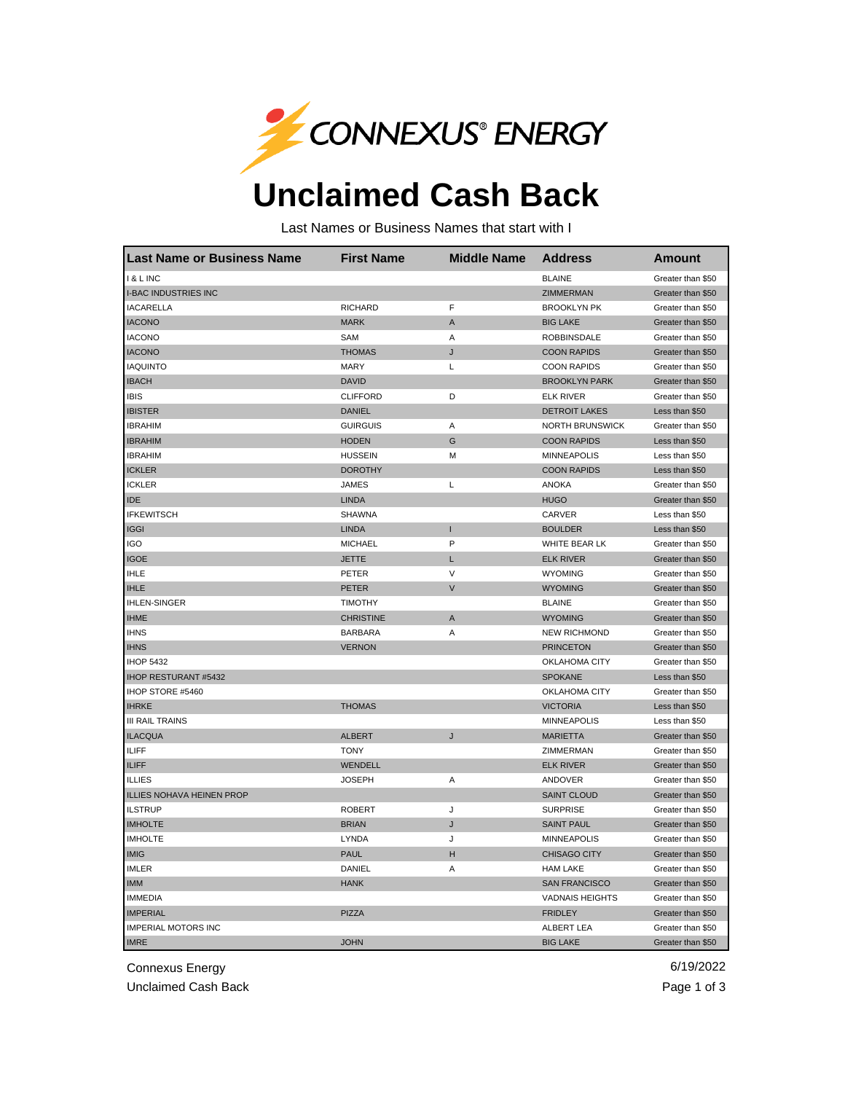

## **Unclaimed Cash Back**

Last Names or Business Names that start with I

| <b>Last Name or Business Name</b> | <b>First Name</b> | <b>Middle Name</b> | <b>Address</b>         | <b>Amount</b>     |
|-----------------------------------|-------------------|--------------------|------------------------|-------------------|
| I & L INC                         |                   |                    | <b>BLAINE</b>          | Greater than \$50 |
| <b>I-BAC INDUSTRIES INC</b>       |                   |                    | <b>ZIMMERMAN</b>       | Greater than \$50 |
| <b>IACARELLA</b>                  | <b>RICHARD</b>    | F                  | <b>BROOKLYN PK</b>     | Greater than \$50 |
| <b>IACONO</b>                     | <b>MARK</b>       | $\mathsf A$        | <b>BIG LAKE</b>        | Greater than \$50 |
| <b>IACONO</b>                     | SAM               | Α                  | <b>ROBBINSDALE</b>     | Greater than \$50 |
| <b>IACONO</b>                     | <b>THOMAS</b>     | J                  | <b>COON RAPIDS</b>     | Greater than \$50 |
| <b>IAQUINTO</b>                   | <b>MARY</b>       | Г                  | <b>COON RAPIDS</b>     | Greater than \$50 |
| <b>IBACH</b>                      | <b>DAVID</b>      |                    | <b>BROOKLYN PARK</b>   | Greater than \$50 |
| <b>IBIS</b>                       | <b>CLIFFORD</b>   | D                  | <b>ELK RIVER</b>       | Greater than \$50 |
| <b>IBISTER</b>                    | <b>DANIEL</b>     |                    | <b>DETROIT LAKES</b>   | Less than \$50    |
| <b>IBRAHIM</b>                    | <b>GUIRGUIS</b>   | Α                  | <b>NORTH BRUNSWICK</b> | Greater than \$50 |
| <b>IBRAHIM</b>                    | <b>HODEN</b>      | G                  | <b>COON RAPIDS</b>     | Less than \$50    |
| <b>IBRAHIM</b>                    | <b>HUSSEIN</b>    | М                  | <b>MINNEAPOLIS</b>     | Less than \$50    |
| <b>ICKLER</b>                     | <b>DOROTHY</b>    |                    | <b>COON RAPIDS</b>     | Less than \$50    |
| <b>ICKLER</b>                     | <b>JAMES</b>      | L                  | <b>ANOKA</b>           | Greater than \$50 |
| <b>IDE</b>                        | <b>LINDA</b>      |                    | <b>HUGO</b>            | Greater than \$50 |
| <b>IFKEWITSCH</b>                 | <b>SHAWNA</b>     |                    | CARVER                 | Less than \$50    |
| <b>IGGI</b>                       | <b>LINDA</b>      | ı                  | <b>BOULDER</b>         | Less than \$50    |
| <b>IGO</b>                        | <b>MICHAEL</b>    | P                  | WHITE BEAR LK          | Greater than \$50 |
| <b>IGOE</b>                       | <b>JETTE</b>      | L                  | <b>ELK RIVER</b>       | Greater than \$50 |
| <b>IHLE</b>                       | PETER             | V                  | <b>WYOMING</b>         | Greater than \$50 |
| <b>IHLE</b>                       | <b>PETER</b>      | V                  | <b>WYOMING</b>         | Greater than \$50 |
| <b>IHLEN-SINGER</b>               | <b>TIMOTHY</b>    |                    | <b>BLAINE</b>          | Greater than \$50 |
| <b>IHME</b>                       | <b>CHRISTINE</b>  | A                  | <b>WYOMING</b>         | Greater than \$50 |
| <b>IHNS</b>                       | <b>BARBARA</b>    | Α                  | <b>NEW RICHMOND</b>    | Greater than \$50 |
| <b>IHNS</b>                       | <b>VERNON</b>     |                    | <b>PRINCETON</b>       | Greater than \$50 |
| <b>IHOP 5432</b>                  |                   |                    | OKLAHOMA CITY          | Greater than \$50 |
| <b>IHOP RESTURANT #5432</b>       |                   |                    | <b>SPOKANE</b>         | Less than \$50    |
| IHOP STORE #5460                  |                   |                    | OKLAHOMA CITY          | Greater than \$50 |
| <b>IHRKE</b>                      | <b>THOMAS</b>     |                    | <b>VICTORIA</b>        | Less than \$50    |
| <b>III RAIL TRAINS</b>            |                   |                    | <b>MINNEAPOLIS</b>     | Less than \$50    |
| <b>ILACQUA</b>                    | <b>ALBERT</b>     | J                  | <b>MARIETTA</b>        | Greater than \$50 |
| <b>ILIFF</b>                      | <b>TONY</b>       |                    | ZIMMERMAN              | Greater than \$50 |
| <b>ILIFF</b>                      | WENDELL           |                    | <b>ELK RIVER</b>       | Greater than \$50 |
| <b>ILLIES</b>                     | <b>JOSEPH</b>     | Α                  | ANDOVER                | Greater than \$50 |
| ILLIES NOHAVA HEINEN PROP         |                   |                    | <b>SAINT CLOUD</b>     | Greater than \$50 |
| <b>ILSTRUP</b>                    | <b>ROBERT</b>     | J                  | <b>SURPRISE</b>        | Greater than \$50 |
| <b>IMHOLTE</b>                    | <b>BRIAN</b>      | J                  | <b>SAINT PAUL</b>      | Greater than \$50 |
| <b>IMHOLTE</b>                    | LYNDA             | J                  | <b>MINNEAPOLIS</b>     | Greater than \$50 |
| <b>IMIG</b>                       | <b>PAUL</b>       | н                  | CHISAGO CITY           | Greater than \$50 |
| <b>IMLER</b>                      | DANIEL            | Α                  | <b>HAM LAKE</b>        | Greater than \$50 |
| <b>IMM</b>                        | <b>HANK</b>       |                    | <b>SAN FRANCISCO</b>   | Greater than \$50 |
| <b>IMMEDIA</b>                    |                   |                    | <b>VADNAIS HEIGHTS</b> | Greater than \$50 |
| <b>IMPERIAL</b>                   | <b>PIZZA</b>      |                    | <b>FRIDLEY</b>         | Greater than \$50 |
| <b>IMPERIAL MOTORS INC</b>        |                   |                    | <b>ALBERT LEA</b>      | Greater than \$50 |
| <b>IMRE</b>                       | <b>JOHN</b>       |                    | <b>BIG LAKE</b>        | Greater than \$50 |

Connexus Energy 6/19/2022

Unclaimed Cash Back **Page 1 of 3**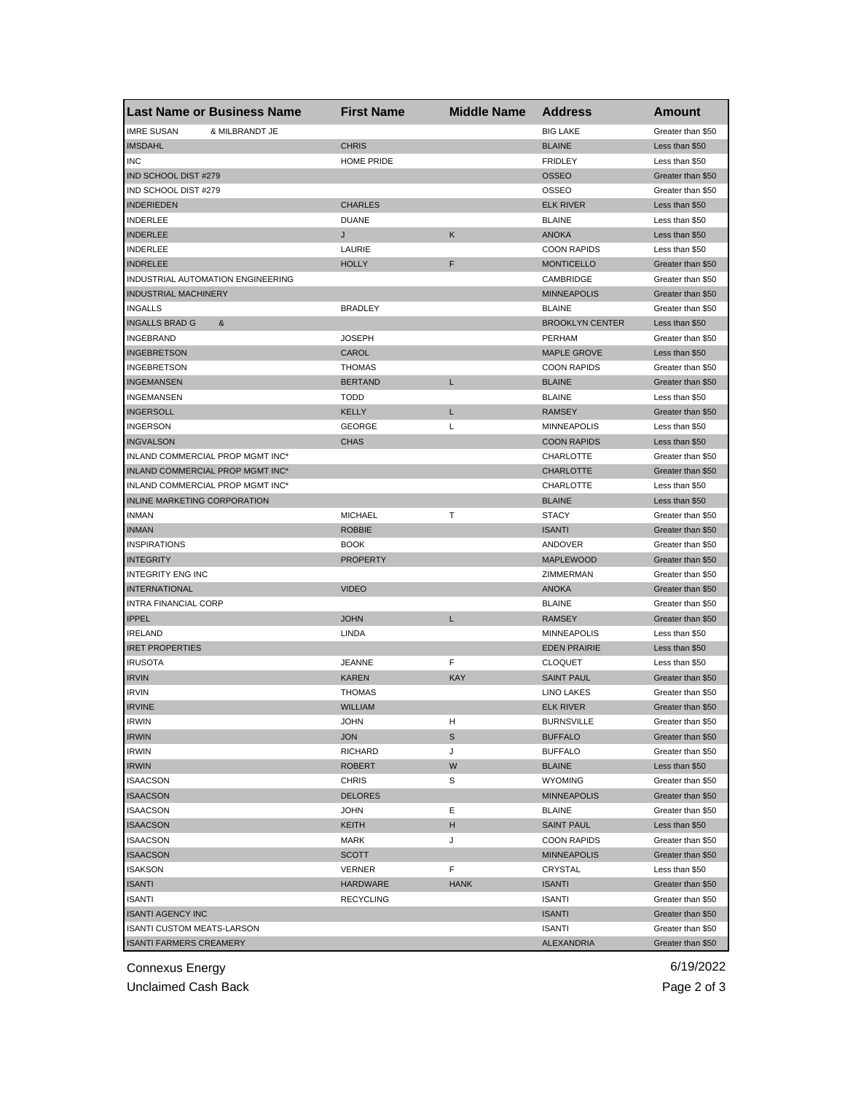| <b>Last Name or Business Name</b>           | <b>First Name</b> | <b>Middle Name</b> | <b>Address</b>            | Amount                                 |
|---------------------------------------------|-------------------|--------------------|---------------------------|----------------------------------------|
| & MILBRANDT JE<br><b>IMRE SUSAN</b>         |                   |                    | <b>BIG LAKE</b>           | Greater than \$50                      |
| <b>IMSDAHL</b>                              | <b>CHRIS</b>      |                    | <b>BLAINE</b>             | Less than \$50                         |
| <b>INC</b>                                  | <b>HOME PRIDE</b> |                    | <b>FRIDLEY</b>            | Less than \$50                         |
| IND SCHOOL DIST #279                        |                   |                    | <b>OSSEO</b>              | Greater than \$50                      |
| IND SCHOOL DIST #279                        |                   |                    | OSSEO                     | Greater than \$50                      |
| <b>INDERIEDEN</b>                           | <b>CHARLES</b>    |                    | <b>ELK RIVER</b>          | Less than \$50                         |
| <b>INDERLEE</b>                             | <b>DUANE</b>      |                    | <b>BLAINE</b>             | Less than \$50                         |
| <b>INDERLEE</b>                             | J                 | Κ                  | <b>ANOKA</b>              | Less than \$50                         |
| <b>INDERLEE</b>                             | LAURIE            |                    | <b>COON RAPIDS</b>        | Less than \$50                         |
| <b>INDRELEE</b>                             | <b>HOLLY</b>      | F                  | <b>MONTICELLO</b>         | Greater than \$50                      |
| INDUSTRIAL AUTOMATION ENGINEERING           |                   |                    | CAMBRIDGE                 | Greater than \$50                      |
| <b>INDUSTRIAL MACHINERY</b>                 |                   |                    | <b>MINNEAPOLIS</b>        | Greater than \$50                      |
| <b>INGALLS</b>                              | <b>BRADLEY</b>    |                    | <b>BLAINE</b>             | Greater than \$50                      |
| <b>INGALLS BRAD G</b><br>&                  |                   |                    | <b>BROOKLYN CENTER</b>    | Less than \$50                         |
| <b>INGEBRAND</b>                            | <b>JOSEPH</b>     |                    | PERHAM                    | Greater than \$50                      |
| <b>INGEBRETSON</b>                          | CAROL             |                    | <b>MAPLE GROVE</b>        | Less than \$50                         |
| <b>INGEBRETSON</b>                          | <b>THOMAS</b>     |                    | <b>COON RAPIDS</b>        | Greater than \$50                      |
| <b>INGEMANSEN</b>                           | <b>BERTAND</b>    | Г                  | <b>BLAINE</b>             | Greater than \$50                      |
| <b>INGEMANSEN</b>                           | <b>TODD</b>       |                    | <b>BLAINE</b>             | Less than \$50                         |
| <b>INGERSOLL</b>                            | <b>KELLY</b>      | Г                  | <b>RAMSEY</b>             | Greater than \$50                      |
| <b>INGERSON</b>                             | GEORGE            | L                  | <b>MINNEAPOLIS</b>        | Less than \$50                         |
| <b>INGVALSON</b>                            | <b>CHAS</b>       |                    | <b>COON RAPIDS</b>        | Less than \$50                         |
| INLAND COMMERCIAL PROP MGMT INC*            |                   |                    | CHARLOTTE                 | Greater than \$50                      |
| INLAND COMMERCIAL PROP MGMT INC*            |                   |                    | <b>CHARLOTTE</b>          | Greater than \$50                      |
| INLAND COMMERCIAL PROP MGMT INC*            |                   |                    | CHARLOTTE                 | Less than \$50                         |
| <b>INLINE MARKETING CORPORATION</b>         |                   |                    | <b>BLAINE</b>             | Less than \$50                         |
| <b>INMAN</b>                                | <b>MICHAEL</b>    | Т                  | <b>STACY</b>              | Greater than \$50                      |
| <b>INMAN</b>                                | <b>ROBBIE</b>     |                    | <b>ISANTI</b>             | Greater than \$50                      |
| <b>INSPIRATIONS</b>                         | <b>BOOK</b>       |                    | ANDOVER                   | Greater than \$50                      |
| <b>INTEGRITY</b>                            | <b>PROPERTY</b>   |                    | <b>MAPLEWOOD</b>          | Greater than \$50                      |
| <b>INTEGRITY ENG INC</b>                    |                   |                    |                           |                                        |
| <b>INTERNATIONAL</b>                        | <b>VIDEO</b>      |                    | ZIMMERMAN<br><b>ANOKA</b> | Greater than \$50<br>Greater than \$50 |
|                                             |                   |                    |                           |                                        |
| <b>INTRA FINANCIAL CORP</b><br><b>IPPEL</b> |                   | Г                  | <b>BLAINE</b>             | Greater than \$50                      |
| <b>IRELAND</b>                              | <b>JOHN</b>       |                    | <b>RAMSEY</b>             | Greater than \$50                      |
|                                             | LINDA             |                    | <b>MINNEAPOLIS</b>        | Less than \$50                         |
| <b>IRET PROPERTIES</b>                      |                   |                    | <b>EDEN PRAIRIE</b>       | Less than \$50                         |
| <b>IRUSOTA</b>                              | <b>JEANNE</b>     | F                  | <b>CLOQUET</b>            | Less than \$50                         |
| <b>IRVIN</b>                                | <b>KAREN</b>      | <b>KAY</b>         | <b>SAINT PAUL</b>         | Greater than \$50                      |
| <b>IRVIN</b>                                | <b>THOMAS</b>     |                    | <b>LINO LAKES</b>         | Greater than \$50                      |
| <b>IRVINE</b>                               | <b>WILLIAM</b>    |                    | <b>ELK RIVER</b>          | Greater than \$50                      |
| <b>IRWIN</b>                                | JOHN              | н                  | <b>BURNSVILLE</b>         | Greater than \$50                      |
| <b>IRWIN</b>                                | <b>JON</b>        | S                  | <b>BUFFALO</b>            | Greater than \$50                      |
| <b>IRWIN</b>                                | <b>RICHARD</b>    | J                  | <b>BUFFALO</b>            | Greater than \$50                      |
| <b>IRWIN</b>                                | <b>ROBERT</b>     | W                  | <b>BLAINE</b>             | Less than \$50                         |
| <b>ISAACSON</b>                             | <b>CHRIS</b>      | S                  | <b>WYOMING</b>            | Greater than \$50                      |
| <b>ISAACSON</b>                             | <b>DELORES</b>    |                    | <b>MINNEAPOLIS</b>        | Greater than \$50                      |
| <b>ISAACSON</b>                             | <b>JOHN</b>       | Ε                  | <b>BLAINE</b>             | Greater than \$50                      |
| <b>ISAACSON</b>                             | <b>KEITH</b>      | н                  | <b>SAINT PAUL</b>         | Less than \$50                         |
| <b>ISAACSON</b>                             | MARK              | J                  | <b>COON RAPIDS</b>        | Greater than \$50                      |
| <b>ISAACSON</b>                             | <b>SCOTT</b>      |                    | <b>MINNEAPOLIS</b>        | Greater than \$50                      |
| <b>ISAKSON</b>                              | VERNER            | F                  | CRYSTAL                   | Less than \$50                         |
| <b>ISANTI</b>                               | <b>HARDWARE</b>   | <b>HANK</b>        | <b>ISANTI</b>             | Greater than \$50                      |
| ISANTI                                      | <b>RECYCLING</b>  |                    | ISANTI                    | Greater than \$50                      |
| <b>ISANTI AGENCY INC</b>                    |                   |                    | <b>ISANTI</b>             | Greater than \$50                      |
| <b>ISANTI CUSTOM MEATS-LARSON</b>           |                   |                    | <b>ISANTI</b>             | Greater than \$50                      |
| <b>ISANTI FARMERS CREAMERY</b>              |                   |                    | ALEXANDRIA                | Greater than \$50                      |

Connexus Energy 6/19/2022

Unclaimed Cash Back **Page 2 of 3**